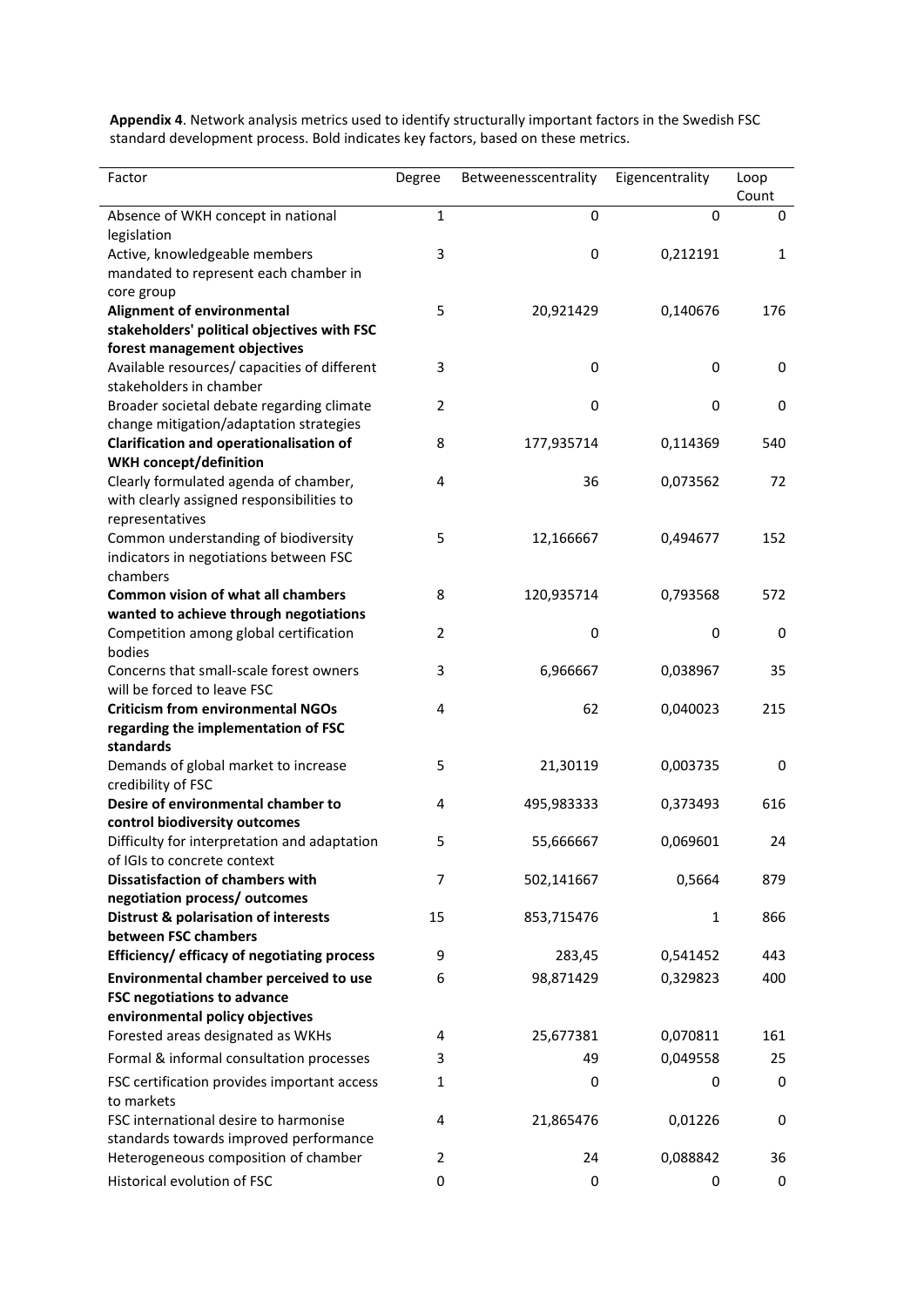**Appendix 4**. Network analysis metrics used to identify structurally important factors in the Swedish FSC standard development process. Bold indicates key factors, based on these metrics.

| Factor                                            | Degree         | Betweenesscentrality | Eigencentrality | Loop<br>Count |
|---------------------------------------------------|----------------|----------------------|-----------------|---------------|
| Absence of WKH concept in national<br>legislation | $\mathbf 1$    | 0                    | 0               | 0             |
| Active, knowledgeable members                     | 3              | $\pmb{0}$            | 0,212191        | $\mathbf{1}$  |
| mandated to represent each chamber in             |                |                      |                 |               |
| core group                                        |                |                      |                 |               |
| Alignment of environmental                        | 5              | 20,921429            | 0,140676        | 176           |
| stakeholders' political objectives with FSC       |                |                      |                 |               |
| forest management objectives                      |                |                      |                 |               |
| Available resources/ capacities of different      | 3              | 0                    | 0               | 0             |
| stakeholders in chamber                           |                |                      |                 |               |
| Broader societal debate regarding climate         | $\overline{2}$ | $\pmb{0}$            | 0               | $\mathbf 0$   |
| change mitigation/adaptation strategies           |                |                      |                 |               |
| <b>Clarification and operationalisation of</b>    | 8              | 177,935714           | 0,114369        | 540           |
| <b>WKH concept/definition</b>                     |                |                      |                 |               |
| Clearly formulated agenda of chamber,             | 4              | 36                   | 0,073562        | 72            |
| with clearly assigned responsibilities to         |                |                      |                 |               |
| representatives                                   |                |                      |                 |               |
| Common understanding of biodiversity              | 5              | 12,166667            | 0,494677        | 152           |
| indicators in negotiations between FSC            |                |                      |                 |               |
| chambers                                          |                |                      |                 |               |
| <b>Common vision of what all chambers</b>         | 8              | 120,935714           | 0,793568        | 572           |
| wanted to achieve through negotiations            |                |                      |                 |               |
| Competition among global certification            | 2              | 0                    | 0               | 0             |
| bodies                                            |                |                      |                 |               |
| Concerns that small-scale forest owners           | 3              | 6,966667             | 0,038967        | 35            |
| will be forced to leave FSC                       |                |                      |                 |               |
| <b>Criticism from environmental NGOs</b>          | 4              | 62                   | 0,040023        | 215           |
| regarding the implementation of FSC               |                |                      |                 |               |
| standards                                         |                |                      |                 |               |
| Demands of global market to increase              | 5              | 21,30119             | 0,003735        | 0             |
| credibility of FSC                                |                |                      |                 |               |
| Desire of environmental chamber to                | 4              | 495,983333           | 0,373493        | 616           |
| control biodiversity outcomes                     |                |                      |                 |               |
| Difficulty for interpretation and adaptation      | 5              | 55,666667            | 0,069601        | 24            |
| of IGIs to concrete context                       |                |                      |                 |               |
| <b>Dissatisfaction of chambers with</b>           | 7              | 502,141667           | 0,5664          | 879           |
| negotiation process/ outcomes                     |                |                      |                 |               |
| <b>Distrust &amp; polarisation of interests</b>   | 15             | 853,715476           | 1               | 866           |
| between FSC chambers                              |                |                      |                 |               |
| Efficiency/ efficacy of negotiating process       | 9              | 283,45               | 0,541452        | 443           |
| Environmental chamber perceived to use            | 6              | 98,871429            | 0,329823        | 400           |
| <b>FSC negotiations to advance</b>                |                |                      |                 |               |
| environmental policy objectives                   |                |                      |                 |               |
| Forested areas designated as WKHs                 | 4              | 25,677381            | 0,070811        | 161           |
| Formal & informal consultation processes          | 3              | 49                   | 0,049558        | 25            |
| FSC certification provides important access       | $\mathbf{1}$   | 0                    | 0               | 0             |
| to markets                                        |                |                      |                 |               |
| FSC international desire to harmonise             | 4              | 21,865476            | 0,01226         | 0             |
| standards towards improved performance            |                |                      |                 |               |
| Heterogeneous composition of chamber              | 2              | 24                   | 0,088842        | 36            |
| Historical evolution of FSC                       | 0              | 0                    | 0               | 0             |
|                                                   |                |                      |                 |               |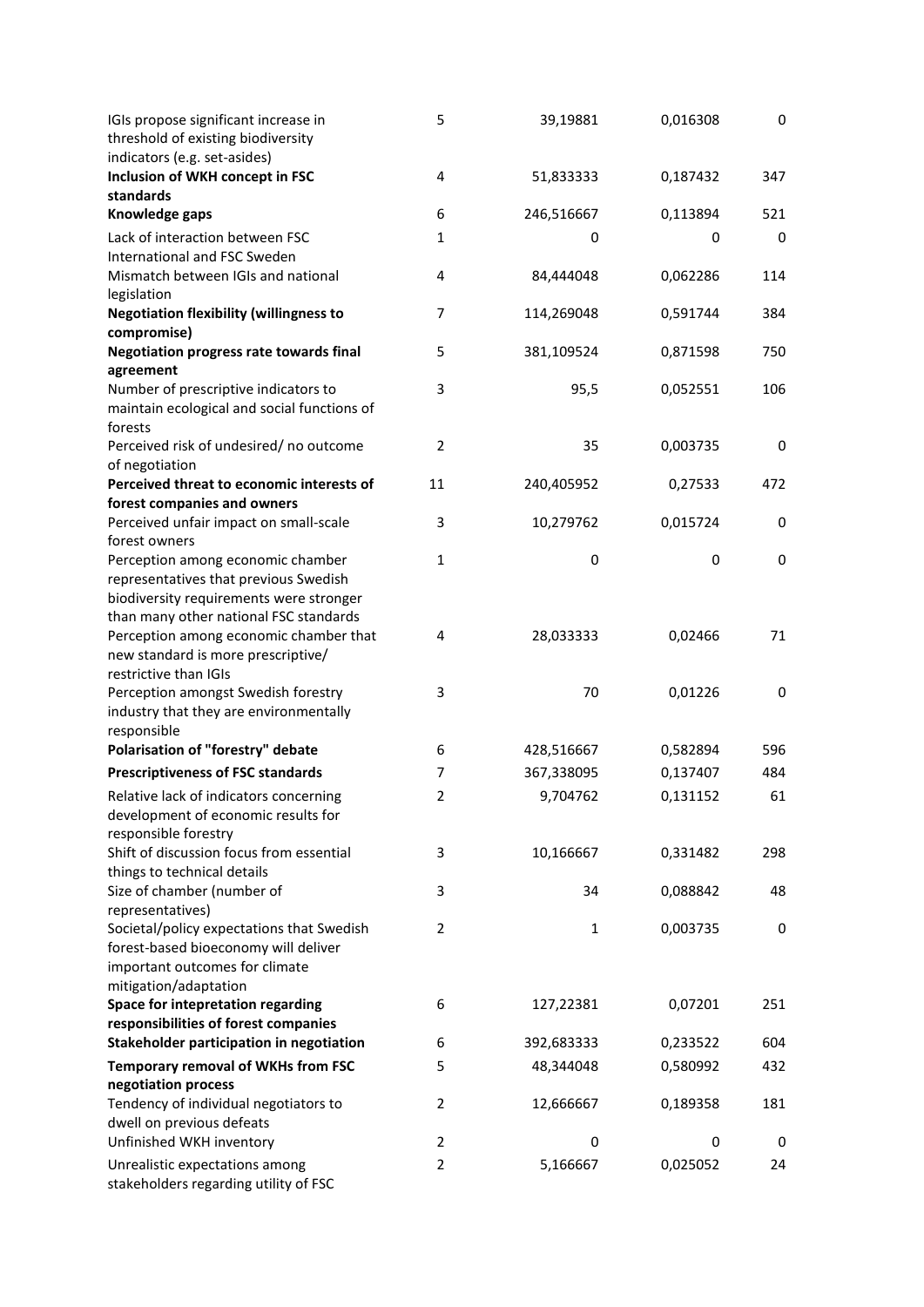| IGIs propose significant increase in<br>threshold of existing biodiversity<br>indicators (e.g. set-asides) | 5              | 39,19881     | 0,016308 | 0   |
|------------------------------------------------------------------------------------------------------------|----------------|--------------|----------|-----|
| Inclusion of WKH concept in FSC<br>standards                                                               | 4              | 51,833333    | 0,187432 | 347 |
| Knowledge gaps                                                                                             | 6              | 246,516667   | 0,113894 | 521 |
| Lack of interaction between FSC                                                                            | $\mathbf{1}$   | 0            | 0        | 0   |
| International and FSC Sweden                                                                               |                |              |          |     |
| Mismatch between IGIs and national<br>legislation                                                          | $\overline{4}$ | 84,444048    | 0,062286 | 114 |
| <b>Negotiation flexibility (willingness to</b>                                                             | $\overline{7}$ | 114,269048   | 0,591744 | 384 |
| compromise)                                                                                                |                |              |          |     |
| <b>Negotiation progress rate towards final</b>                                                             | 5              | 381,109524   | 0,871598 | 750 |
| agreement                                                                                                  |                |              |          |     |
| Number of prescriptive indicators to<br>maintain ecological and social functions of<br>forests             | 3              | 95,5         | 0,052551 | 106 |
| Perceived risk of undesired/ no outcome<br>of negotiation                                                  | $\overline{2}$ | 35           | 0,003735 | 0   |
| Perceived threat to economic interests of                                                                  | 11             | 240,405952   | 0,27533  | 472 |
| forest companies and owners                                                                                |                |              |          |     |
| Perceived unfair impact on small-scale<br>forest owners                                                    | 3              | 10,279762    | 0,015724 | 0   |
| Perception among economic chamber                                                                          | $\mathbf{1}$   | 0            | 0        | 0   |
| representatives that previous Swedish                                                                      |                |              |          |     |
| biodiversity requirements were stronger                                                                    |                |              |          |     |
| than many other national FSC standards                                                                     |                |              |          |     |
| Perception among economic chamber that                                                                     | 4              | 28,033333    | 0,02466  | 71  |
| new standard is more prescriptive/                                                                         |                |              |          |     |
| restrictive than IGIs                                                                                      |                |              |          |     |
| Perception amongst Swedish forestry                                                                        | 3              | 70           | 0,01226  | 0   |
| industry that they are environmentally                                                                     |                |              |          |     |
| responsible                                                                                                |                |              |          |     |
| Polarisation of "forestry" debate                                                                          | 6              | 428,516667   | 0,582894 | 596 |
| <b>Prescriptiveness of FSC standards</b>                                                                   | 7              | 367,338095   | 0,137407 | 484 |
| Relative lack of indicators concerning                                                                     | $\overline{2}$ | 9,704762     | 0,131152 | 61  |
| development of economic results for<br>responsible forestry                                                |                |              |          |     |
| Shift of discussion focus from essential                                                                   | 3              | 10,166667    | 0,331482 | 298 |
| things to technical details                                                                                |                |              |          |     |
| Size of chamber (number of                                                                                 | 3              | 34           | 0,088842 | 48  |
| representatives)                                                                                           |                |              |          |     |
| Societal/policy expectations that Swedish                                                                  | 2              | $\mathbf{1}$ | 0,003735 | 0   |
| forest-based bioeconomy will deliver                                                                       |                |              |          |     |
| important outcomes for climate                                                                             |                |              |          |     |
| mitigation/adaptation                                                                                      |                |              |          |     |
| Space for intepretation regarding                                                                          | 6              | 127,22381    | 0,07201  | 251 |
| responsibilities of forest companies                                                                       |                |              |          |     |
| Stakeholder participation in negotiation                                                                   | 6              | 392,683333   | 0,233522 | 604 |
| Temporary removal of WKHs from FSC                                                                         | 5              | 48,344048    | 0,580992 | 432 |
| negotiation process                                                                                        |                |              |          |     |
| Tendency of individual negotiators to                                                                      | 2              | 12,666667    | 0,189358 | 181 |
| dwell on previous defeats                                                                                  |                |              |          |     |
| Unfinished WKH inventory                                                                                   | 2              | 0            | 0        | 0   |
| Unrealistic expectations among<br>stakeholders regarding utility of FSC                                    | 2              | 5,166667     | 0,025052 | 24  |